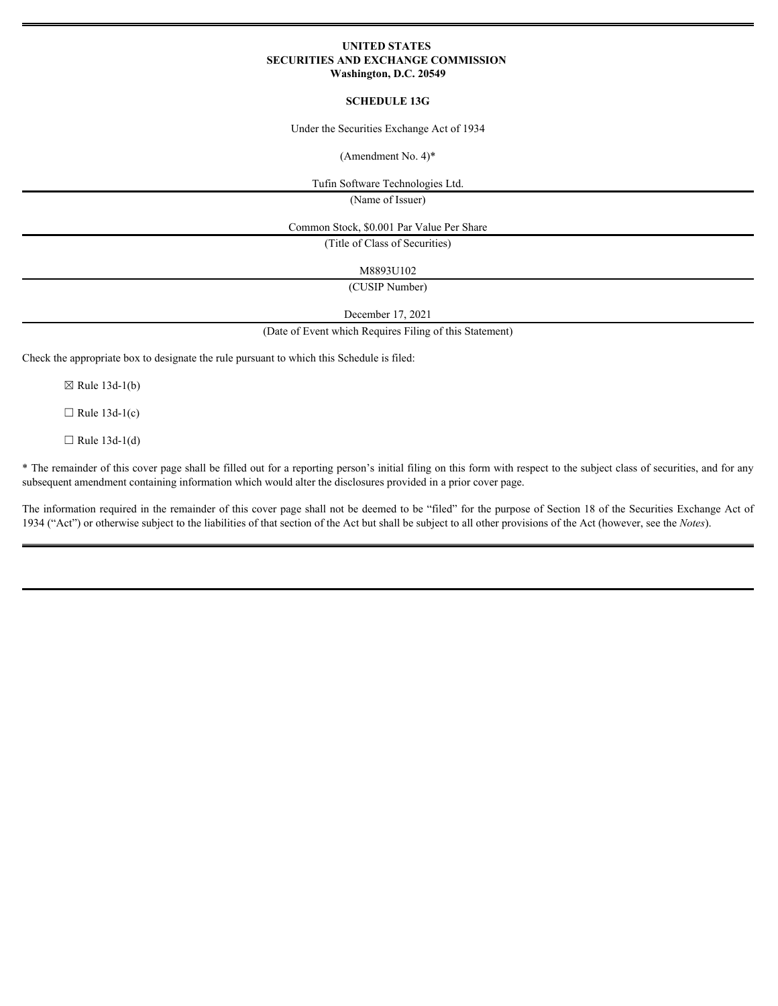## **UNITED STATES SECURITIES AND EXCHANGE COMMISSION Washington, D.C. 20549**

## **SCHEDULE 13G**

Under the Securities Exchange Act of 1934

(Amendment No. 4)\*

Tufin Software Technologies Ltd.

(Name of Issuer)

Common Stock, \$0.001 Par Value Per Share

(Title of Class of Securities)

M8893U102

(CUSIP Number)

December 17, 2021

(Date of Event which Requires Filing of this Statement)

Check the appropriate box to designate the rule pursuant to which this Schedule is filed:

 $\boxtimes$  Rule 13d-1(b)

 $\Box$  Rule 13d-1(c)

 $\Box$  Rule 13d-1(d)

\* The remainder of this cover page shall be filled out for a reporting person's initial filing on this form with respect to the subject class of securities, and for any subsequent amendment containing information which would alter the disclosures provided in a prior cover page.

The information required in the remainder of this cover page shall not be deemed to be "filed" for the purpose of Section 18 of the Securities Exchange Act of 1934 ("Act") or otherwise subject to the liabilities of that section of the Act but shall be subject to all other provisions of the Act (however, see the *Notes*).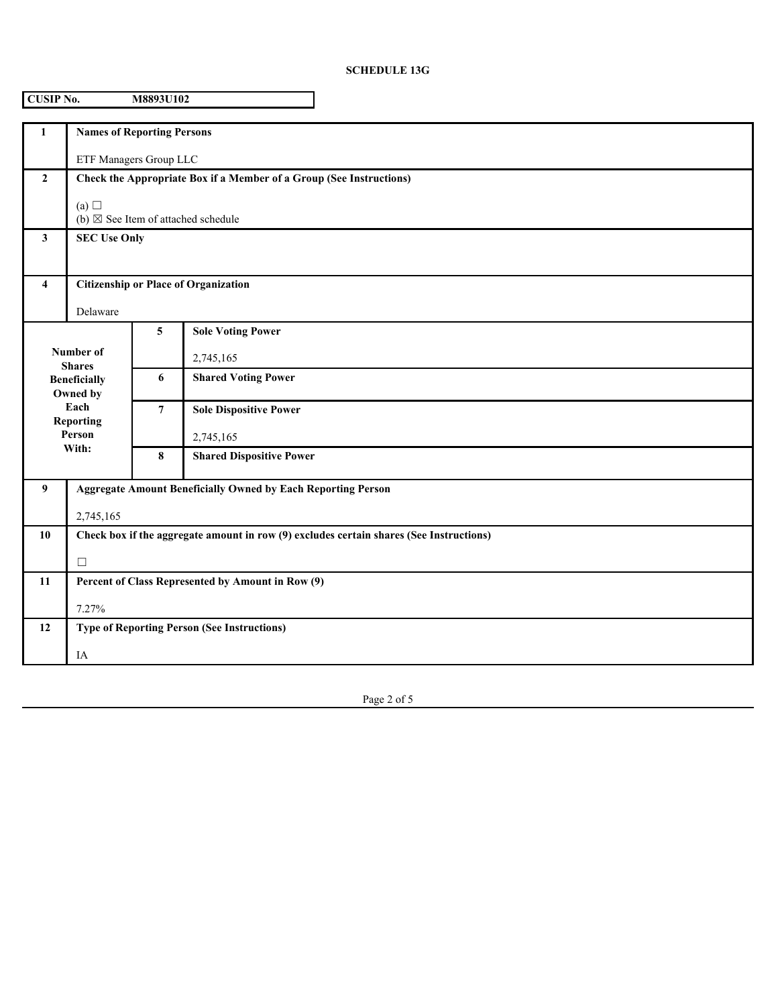## **SCHEDULE 13G**

| <b>CUSIP No.</b><br>M8893U102                                                                                |                                                                                         |                        |                                 |  |
|--------------------------------------------------------------------------------------------------------------|-----------------------------------------------------------------------------------------|------------------------|---------------------------------|--|
| $\mathbf{1}$                                                                                                 | <b>Names of Reporting Persons</b>                                                       |                        |                                 |  |
|                                                                                                              |                                                                                         | ETF Managers Group LLC |                                 |  |
| $\overline{2}$                                                                                               | Check the Appropriate Box if a Member of a Group (See Instructions)                     |                        |                                 |  |
|                                                                                                              | (a) $\Box$<br>(b) $\boxtimes$ See Item of attached schedule                             |                        |                                 |  |
| $\mathbf{3}$                                                                                                 | <b>SEC Use Only</b>                                                                     |                        |                                 |  |
| 4                                                                                                            | <b>Citizenship or Place of Organization</b>                                             |                        |                                 |  |
|                                                                                                              | Delaware                                                                                |                        |                                 |  |
| Number of<br><b>Shares</b><br><b>Beneficially</b><br>Owned by<br>Each<br><b>Reporting</b><br>Person<br>With: |                                                                                         | 5                      | <b>Sole Voting Power</b>        |  |
|                                                                                                              |                                                                                         |                        | 2,745,165                       |  |
|                                                                                                              |                                                                                         | 6                      | <b>Shared Voting Power</b>      |  |
|                                                                                                              |                                                                                         | $\overline{7}$         | <b>Sole Dispositive Power</b>   |  |
|                                                                                                              |                                                                                         |                        | 2,745,165                       |  |
|                                                                                                              |                                                                                         | 8                      | <b>Shared Dispositive Power</b> |  |
| 9                                                                                                            | <b>Aggregate Amount Beneficially Owned by Each Reporting Person</b>                     |                        |                                 |  |
|                                                                                                              | 2,745,165                                                                               |                        |                                 |  |
| 10                                                                                                           | Check box if the aggregate amount in row (9) excludes certain shares (See Instructions) |                        |                                 |  |
|                                                                                                              | $\Box$                                                                                  |                        |                                 |  |
| 11                                                                                                           | Percent of Class Represented by Amount in Row (9)                                       |                        |                                 |  |
|                                                                                                              | 7.27%                                                                                   |                        |                                 |  |
| <b>Type of Reporting Person (See Instructions)</b><br>12                                                     |                                                                                         |                        |                                 |  |
|                                                                                                              | IA                                                                                      |                        |                                 |  |

Page 2 of 5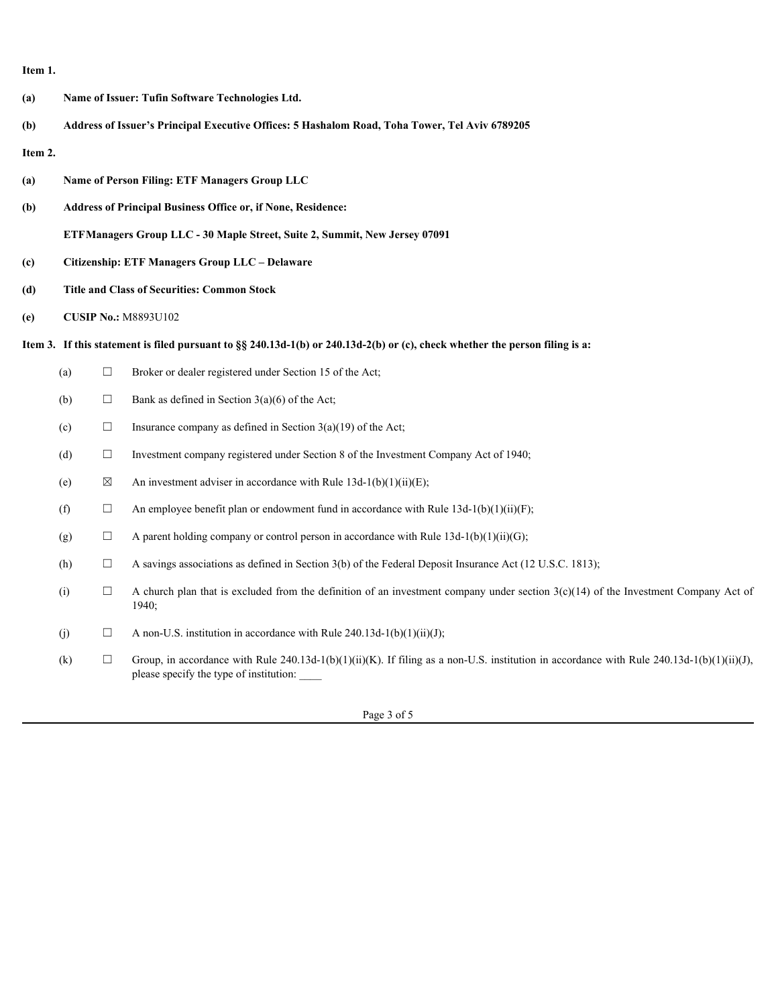**Item 1.**

**(a) Name of Issuer: Tufin Software Technologies Ltd. (b) Address of Issuer's Principal Executive Offices: 5 Hashalom Road, Toha Tower, Tel Aviv 6789205 Item 2. (a) Name of Person Filing: ETF Managers Group LLC (b) Address of Principal Business Office or, if None, Residence: ETFManagers Group LLC - 30 Maple Street, Suite 2, Summit, New Jersey 07091 (c) Citizenship: ETF Managers Group LLC – Delaware (d) Title and Class of Securities: Common Stock (e) CUSIP No.:** M8893U102 **Item 3. If this statement is filed pursuant to §§ 240.13d-1(b) or 240.13d-2(b) or (c), check whether the person filing is a:** (a)  $\Box$  Broker or dealer registered under Section 15 of the Act; (b)  $\Box$  Bank as defined in Section 3(a)(6) of the Act; (c)  $\Box$  Insurance company as defined in Section 3(a)(19) of the Act; (d)  $\Box$  Investment company registered under Section 8 of the Investment Company Act of 1940; (e)  $\boxtimes$  An investment adviser in accordance with Rule 13d-1(b)(1)(ii)(E); (f)  $\Box$  An employee benefit plan or endowment fund in accordance with Rule 13d-1(b)(1)(ii)(F); (g)  $\Box$  A parent holding company or control person in accordance with Rule 13d-1(b)(1)(ii)(G); (h)  $\Box$  A savings associations as defined in Section 3(b) of the Federal Deposit Insurance Act (12 U.S.C. 1813); (i)  $\Box$  A church plan that is excluded from the definition of an investment company under section 3(c)(14) of the Investment Company Act of 1940; (j)  $\Box$  A non-U.S. institution in accordance with Rule 240.13d-1(b)(1)(ii)(J); (k)  $\Box$  Group, in accordance with Rule 240.13d-1(b)(1)(ii)(K). If filing as a non-U.S. institution in accordance with Rule 240.13d-1(b)(1)(ii)(J), please specify the type of institution: \_\_\_\_

Page 3 of 5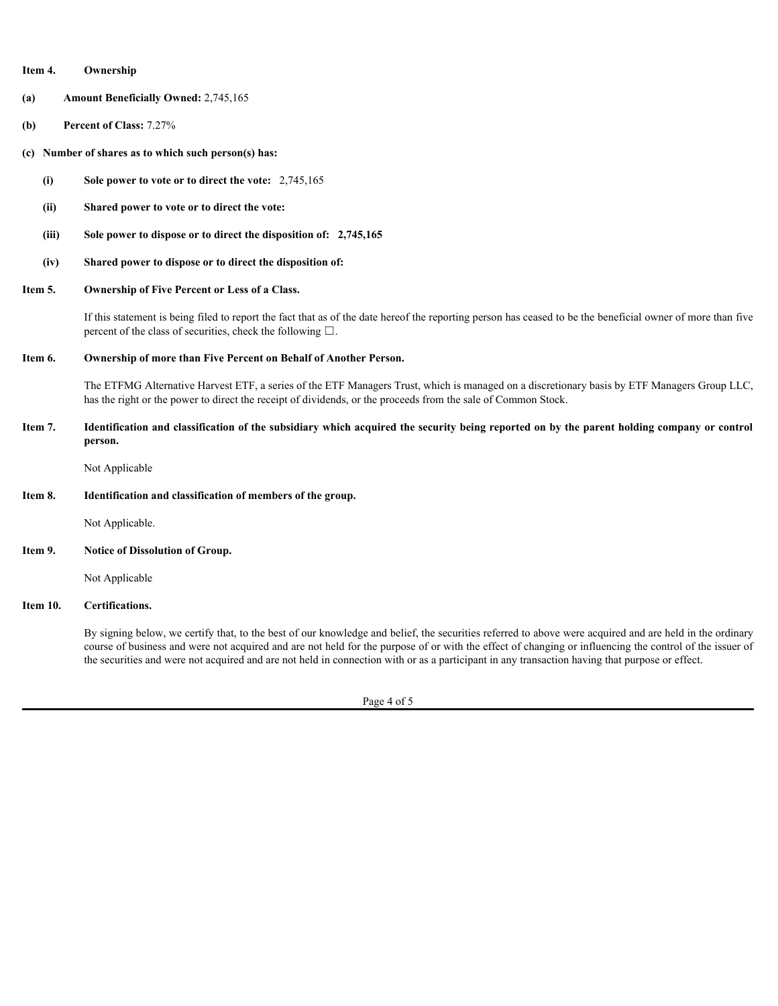| Item 4.<br>Ownership |
|----------------------|
|----------------------|

- **(a) Amount Beneficially Owned:** 2,745,165
- **(b) Percent of Class:** 7.27%
- **(c) Number of shares as to which such person(s) has:**
	- **(i) Sole power to vote or to direct the vote: 2,745,165**
	- **(ii) Shared power to vote or to direct the vote:**
	- **(iii) Sole power to dispose or to direct the disposition of: 2,745,165**
	- **(iv) Shared power to dispose or to direct the disposition of:**
- **Item 5. Ownership of Five Percent or Less of a Class.**

If this statement is being filed to report the fact that as of the date hereof the reporting person has ceased to be the beneficial owner of more than five percent of the class of securities, check the following  $\square$ .

**Item 6. Ownership of more than Five Percent on Behalf of Another Person.**

The ETFMG Alternative Harvest ETF, a series of the ETF Managers Trust, which is managed on a discretionary basis by ETF Managers Group LLC, has the right or the power to direct the receipt of dividends, or the proceeds from the sale of Common Stock.

**Item 7. Identification and classification of the subsidiary which acquired the security being reported on by the parent holding company or control person.**

Not Applicable

**Item 8. Identification and classification of members of the group.**

Not Applicable.

**Item 9. Notice of Dissolution of Group.**

Not Applicable

**Item 10. Certifications.**

By signing below, we certify that, to the best of our knowledge and belief, the securities referred to above were acquired and are held in the ordinary course of business and were not acquired and are not held for the purpose of or with the effect of changing or influencing the control of the issuer of the securities and were not acquired and are not held in connection with or as a participant in any transaction having that purpose or effect.

Page 4 of 5